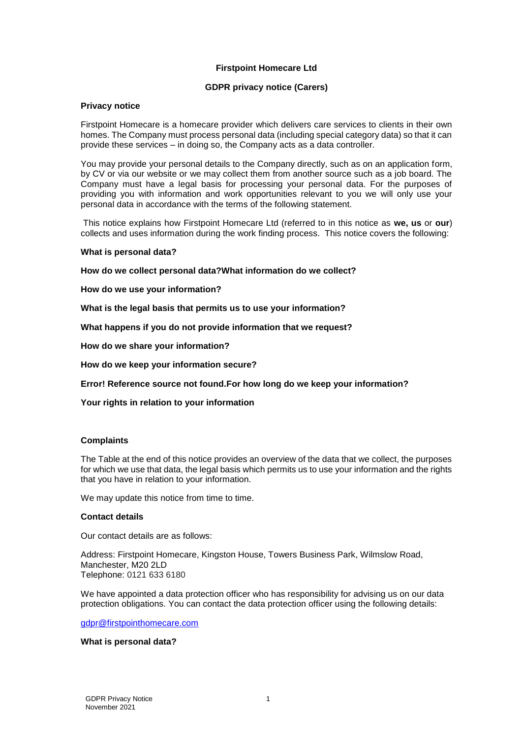## **Firstpoint Homecare Ltd**

### **GDPR privacy notice (Carers)**

### **Privacy notice**

Firstpoint Homecare is a homecare provider which delivers care services to clients in their own homes. The Company must process personal data (including special category data) so that it can provide these services – in doing so, the Company acts as a data controller.

You may provide your personal details to the Company directly, such as on an application form, by CV or via our website or we may collect them from another source such as a job board. The Company must have a legal basis for processing your personal data. For the purposes of providing you with information and work opportunities relevant to you we will only use your personal data in accordance with the terms of the following statement.

This notice explains how Firstpoint Homecare Ltd (referred to in this notice as **we, us** or **our**) collects and uses information during the work finding process. This notice covers the following:

#### **[What is personal data?](#page-0-0)**

**[How do we collect](#page-1-0) personal data[?What information do we collect?](#page-1-0)**

**[How do we use your information?](#page-1-1)**

**[What is the legal basis that permits us to use your information?](#page-1-2)**

**[What happens if you do not provide information that we request?](#page-2-0)**

**[How do we share your information?](#page-2-1)**

**[How do we keep your information secure?](#page-3-0)**

**Error! Reference source not found[.For how long do we keep your information?](#page-3-1)**

**[Your rights in relation to your information](#page-3-2)**

#### **[Complaints](#page-4-0)**

The [Table](#page-5-0) at the end of this notice provides an overview of the data that we collect, the purposes for which we use that data, the legal basis which permits us to use your information and the rights that you have in relation to your information.

We may update this notice from time to time.

#### **Contact details**

Our contact details are as follows:

Address: Firstpoint Homecare, Kingston House, Towers Business Park, Wilmslow Road, Manchester, M20 2LD Telephone: 0121 633 6180

We have appointed a data protection officer who has responsibility for advising us on our data protection obligations. You can contact the data protection officer using the following details:

[gdpr@firstpointhomecare.com](mailto:gdpr@firstpointhomecare.com)

#### <span id="page-0-0"></span>**What is personal data?**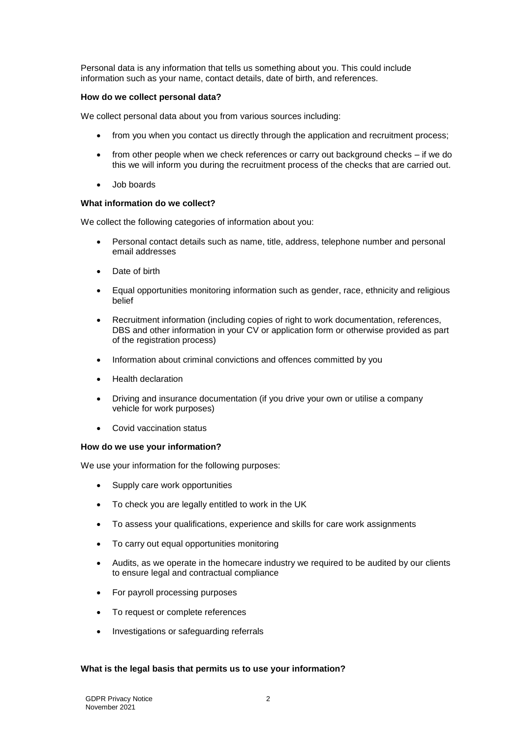Personal data is any information that tells us something about you. This could include information such as your name, contact details, date of birth, and references.

### <span id="page-1-0"></span>**How do we collect personal data?**

We collect personal data about you from various sources including:

- from you when you contact us directly through the application and recruitment process;
- from other people when we check references or carry out background checks if we do this we will inform you during the recruitment process of the checks that are carried out.
- Job boards

## **What information do we collect?**

We collect the following categories of information about you:

- Personal contact details such as name, title, address, telephone number and personal email addresses
- Date of birth
- Equal opportunities monitoring information such as gender, race, ethnicity and religious belief
- Recruitment information (including copies of right to work documentation, references, DBS and other information in your CV or application form or otherwise provided as part of the registration process)
- Information about criminal convictions and offences committed by you
- Health declaration
- Driving and insurance documentation (if you drive your own or utilise a company vehicle for work purposes)
- Covid vaccination status

### <span id="page-1-1"></span>**How do we use your information?**

We use your information for the following purposes:

- Supply care work opportunities
- To check you are legally entitled to work in the UK
- To assess your qualifications, experience and skills for care work assignments
- To carry out equal opportunities monitoring
- Audits, as we operate in the homecare industry we required to be audited by our clients to ensure legal and contractual compliance
- For payroll processing purposes
- To request or complete references
- Investigations or safeguarding referrals

## <span id="page-1-2"></span>**What is the legal basis that permits us to use your information?**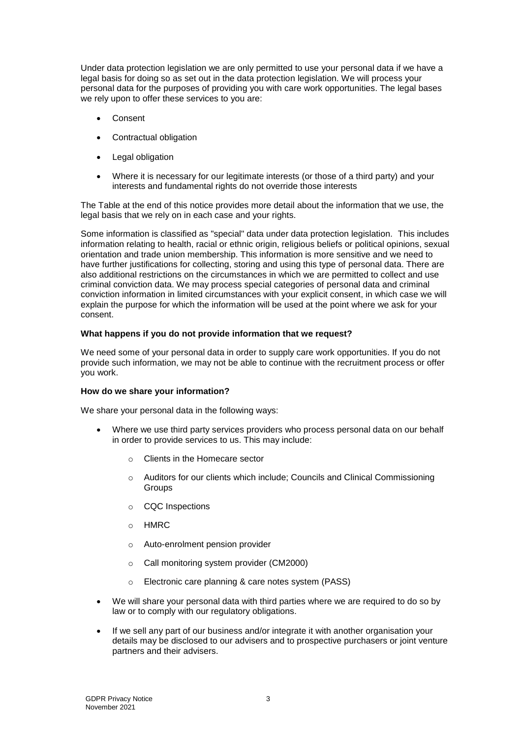Under data protection legislation we are only permitted to use your personal data if we have a legal basis for doing so as set out in the data protection legislation. We will process your personal data for the purposes of providing you with care work opportunities. The legal bases we rely upon to offer these services to you are:

- Consent
- Contractual obligation
- Legal obligation
- Where it is necessary for our legitimate interests (or those of a third party) and your interests and fundamental rights do not override those interests

The [Table](#page-5-0) at the end of this notice provides more detail about the information that we use, the legal basis that we rely on in each case and your rights.

Some information is classified as "special" data under data protection legislation. This includes information relating to health, racial or ethnic origin, religious beliefs or political opinions, sexual orientation and trade union membership. This information is more sensitive and we need to have further justifications for collecting, storing and using this type of personal data. There are also additional restrictions on the circumstances in which we are permitted to collect and use criminal conviction data. We may process special categories of personal data and criminal conviction information in limited circumstances with your explicit consent, in which case we will explain the purpose for which the information will be used at the point where we ask for your consent.

### <span id="page-2-0"></span>**What happens if you do not provide information that we request?**

We need some of your personal data in order to supply care work opportunities. If you do not provide such information, we may not be able to continue with the recruitment process or offer you work.

### <span id="page-2-1"></span>**How do we share your information?**

We share your personal data in the following ways:

- Where we use third party services providers who process personal data on our behalf in order to provide services to us. This may include:
	- o Clients in the Homecare sector
	- o Auditors for our clients which include; Councils and Clinical Commissioning Groups
	- o CQC Inspections
	- o HMRC
	- o Auto-enrolment pension provider
	- o Call monitoring system provider (CM2000)
	- o Electronic care planning & care notes system (PASS)
- We will share your personal data with third parties where we are required to do so by law or to comply with our regulatory obligations.
- If we sell any part of our business and/or integrate it with another organisation your details may be disclosed to our advisers and to prospective purchasers or joint venture partners and their advisers.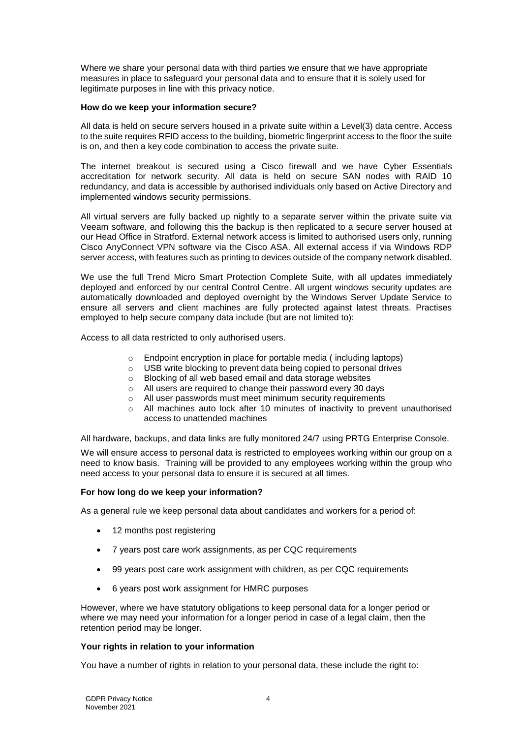Where we share your personal data with third parties we ensure that we have appropriate measures in place to safeguard your personal data and to ensure that it is solely used for legitimate purposes in line with this privacy notice.

## <span id="page-3-0"></span>**How do we keep your information secure?**

All data is held on secure servers housed in a private suite within a Level(3) data centre. Access to the suite requires RFID access to the building, biometric fingerprint access to the floor the suite is on, and then a key code combination to access the private suite.

The internet breakout is secured using a Cisco firewall and we have Cyber Essentials accreditation for network security. All data is held on secure SAN nodes with RAID 10 redundancy, and data is accessible by authorised individuals only based on Active Directory and implemented windows security permissions.

All virtual servers are fully backed up nightly to a separate server within the private suite via Veeam software, and following this the backup is then replicated to a secure server housed at our Head Office in Stratford. External network access is limited to authorised users only, running Cisco AnyConnect VPN software via the Cisco ASA. All external access if via Windows RDP server access, with features such as printing to devices outside of the company network disabled.

We use the full Trend Micro Smart Protection Complete Suite, with all updates immediately deployed and enforced by our central Control Centre. All urgent windows security updates are automatically downloaded and deployed overnight by the Windows Server Update Service to ensure all servers and client machines are fully protected against latest threats. Practises employed to help secure company data include (but are not limited to):

Access to all data restricted to only authorised users.

- o Endpoint encryption in place for portable media ( including laptops)
- o USB write blocking to prevent data being copied to personal drives
- o Blocking of all web based email and data storage websites
- o All users are required to change their password every 30 days
- o All user passwords must meet minimum security requirements
- $\circ$  All machines auto lock after 10 minutes of inactivity to prevent unauthorised access to unattended machines

<span id="page-3-3"></span>All hardware, backups, and data links are fully monitored 24/7 using PRTG Enterprise Console.

We will ensure access to personal data is restricted to employees working within our group on a need to know basis. Training will be provided to any employees working within the group who need access to your personal data to ensure it is secured at all times.

## <span id="page-3-1"></span>**For how long do we keep your information?**

As a general rule we keep personal data about candidates and workers for a period of:

- 12 months post registering
- 7 years post care work assignments, as per CQC requirements
- 99 years post care work assignment with children, as per CQC requirements
- 6 years post work assignment for HMRC purposes

However, where we have statutory obligations to keep personal data for a longer period or where we may need your information for a longer period in case of a legal claim, then the retention period may be longer.

### <span id="page-3-2"></span>**Your rights in relation to your information**

You have a number of rights in relation to your personal data, these include the right to: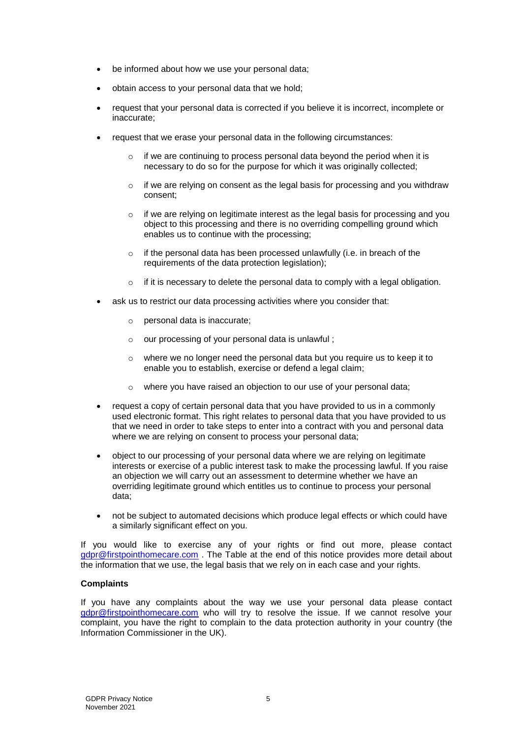- be informed about how we use your personal data;
- obtain access to your personal data that we hold;
- request that your personal data is corrected if you believe it is incorrect, incomplete or inaccurate;
- request that we erase your personal data in the following circumstances:
	- o if we are continuing to process personal data beyond the period when it is necessary to do so for the purpose for which it was originally collected;
	- $\circ$  if we are relying on consent as the legal basis for processing and you withdraw consent;
	- $\circ$  if we are relying on legitimate interest as the legal basis for processing and you object to this processing and there is no overriding compelling ground which enables us to continue with the processing;
	- o if the personal data has been processed unlawfully (i.e. in breach of the requirements of the data protection legislation);
	- o if it is necessary to delete the personal data to comply with a legal obligation.
- ask us to restrict our data processing activities where you consider that:
	- o personal data is inaccurate;
	- o our processing of your personal data is unlawful ;
	- o where we no longer need the personal data but you require us to keep it to enable you to establish, exercise or defend a legal claim;
	- o where you have raised an objection to our use of your personal data;
- request a copy of certain personal data that you have provided to us in a commonly used electronic format. This right relates to personal data that you have provided to us that we need in order to take steps to enter into a contract with you and personal data where we are relying on consent to process your personal data;
- object to our processing of your personal data where we are relying on legitimate interests or exercise of a public interest task to make the processing lawful. If you raise an objection we will carry out an assessment to determine whether we have an overriding legitimate ground which entitles us to continue to process your personal data;
- not be subject to automated decisions which produce legal effects or which could have a similarly significant effect on you.

If you would like to exercise any of your rights or find out more, please contact [gdpr@firstpointhomecare.com](mailto:gdpr@firstpointhomecare.com) . The [Table](#page-5-0) at the end of this notice provides more detail about the information that we use, the legal basis that we rely on in each case and your rights.

## <span id="page-4-0"></span>**Complaints**

If you have any complaints about the way we use your personal data please contact [gdpr@firstpointhomecare.com](mailto:gdpr@firstpointhomecare.com) who will try to resolve the issue. If we cannot resolve your complaint, you have the right to complain to the data protection authority in your country (the Information Commissioner in the UK).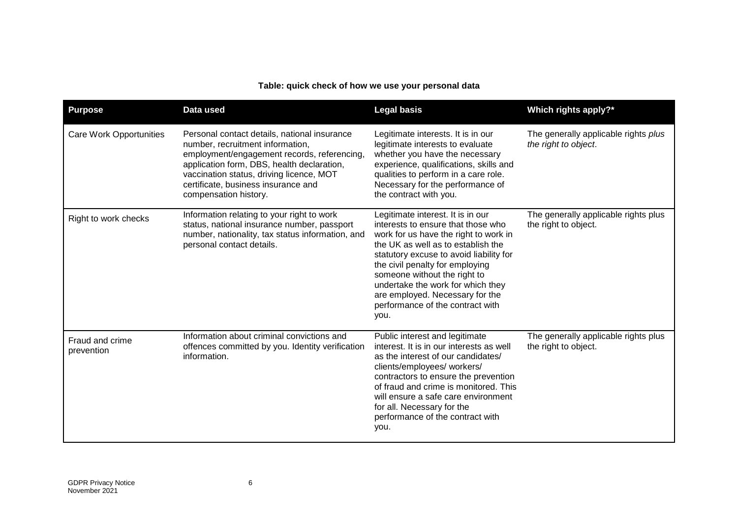# **Table: quick check of how we use your personal data**

<span id="page-5-0"></span>

| <b>Purpose</b>                 | Data used                                                                                                                                                                                                                                                                                 | <b>Legal basis</b>                                                                                                                                                                                                                                                                                                                                                                       | Which rights apply?*                                         |
|--------------------------------|-------------------------------------------------------------------------------------------------------------------------------------------------------------------------------------------------------------------------------------------------------------------------------------------|------------------------------------------------------------------------------------------------------------------------------------------------------------------------------------------------------------------------------------------------------------------------------------------------------------------------------------------------------------------------------------------|--------------------------------------------------------------|
| <b>Care Work Opportunities</b> | Personal contact details, national insurance<br>number, recruitment information,<br>employment/engagement records, referencing,<br>application form, DBS, health declaration,<br>vaccination status, driving licence, MOT<br>certificate, business insurance and<br>compensation history. | Legitimate interests. It is in our<br>legitimate interests to evaluate<br>whether you have the necessary<br>experience, qualifications, skills and<br>qualities to perform in a care role.<br>Necessary for the performance of<br>the contract with you.                                                                                                                                 | The generally applicable rights plus<br>the right to object. |
| Right to work checks           | Information relating to your right to work<br>status, national insurance number, passport<br>number, nationality, tax status information, and<br>personal contact details.                                                                                                                | Legitimate interest. It is in our<br>interests to ensure that those who<br>work for us have the right to work in<br>the UK as well as to establish the<br>statutory excuse to avoid liability for<br>the civil penalty for employing<br>someone without the right to<br>undertake the work for which they<br>are employed. Necessary for the<br>performance of the contract with<br>you. | The generally applicable rights plus<br>the right to object. |
| Fraud and crime<br>prevention  | Information about criminal convictions and<br>offences committed by you. Identity verification<br>information.                                                                                                                                                                            | Public interest and legitimate<br>interest. It is in our interests as well<br>as the interest of our candidates/<br>clients/employees/ workers/<br>contractors to ensure the prevention<br>of fraud and crime is monitored. This<br>will ensure a safe care environment<br>for all. Necessary for the<br>performance of the contract with<br>you.                                        | The generally applicable rights plus<br>the right to object. |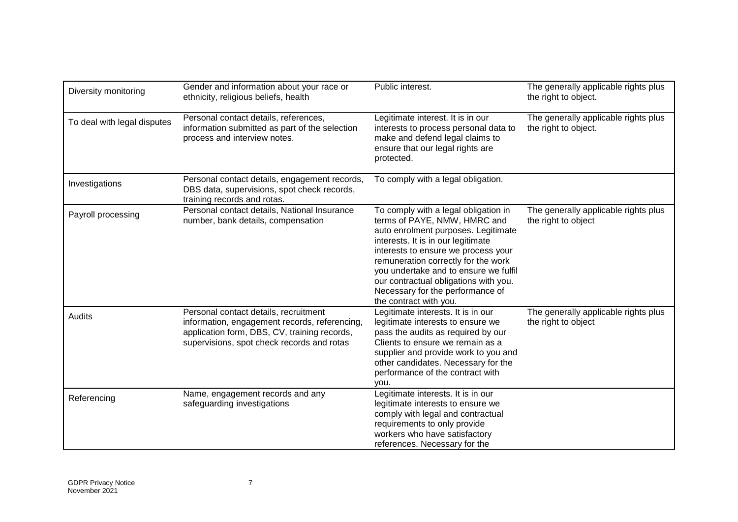| Diversity monitoring        | Gender and information about your race or<br>ethnicity, religious beliefs, health                                                                                                    | Public interest.                                                                                                                                                                                                                                                                                                                                                                | The generally applicable rights plus<br>the right to object. |
|-----------------------------|--------------------------------------------------------------------------------------------------------------------------------------------------------------------------------------|---------------------------------------------------------------------------------------------------------------------------------------------------------------------------------------------------------------------------------------------------------------------------------------------------------------------------------------------------------------------------------|--------------------------------------------------------------|
| To deal with legal disputes | Personal contact details, references,<br>information submitted as part of the selection<br>process and interview notes.                                                              | Legitimate interest. It is in our<br>interests to process personal data to<br>make and defend legal claims to<br>ensure that our legal rights are<br>protected.                                                                                                                                                                                                                 | The generally applicable rights plus<br>the right to object. |
| Investigations              | Personal contact details, engagement records,<br>DBS data, supervisions, spot check records,<br>training records and rotas.                                                          | To comply with a legal obligation.                                                                                                                                                                                                                                                                                                                                              |                                                              |
| Payroll processing          | Personal contact details, National Insurance<br>number, bank details, compensation                                                                                                   | To comply with a legal obligation in<br>terms of PAYE, NMW, HMRC and<br>auto enrolment purposes. Legitimate<br>interests. It is in our legitimate<br>interests to ensure we process your<br>remuneration correctly for the work<br>you undertake and to ensure we fulfil<br>our contractual obligations with you.<br>Necessary for the performance of<br>the contract with you. | The generally applicable rights plus<br>the right to object  |
| Audits                      | Personal contact details, recruitment<br>information, engagement records, referencing,<br>application form, DBS, CV, training records,<br>supervisions, spot check records and rotas | Legitimate interests. It is in our<br>legitimate interests to ensure we<br>pass the audits as required by our<br>Clients to ensure we remain as a<br>supplier and provide work to you and<br>other candidates. Necessary for the<br>performance of the contract with<br>vou.                                                                                                    | The generally applicable rights plus<br>the right to object  |
| Referencing                 | Name, engagement records and any<br>safeguarding investigations                                                                                                                      | Legitimate interests. It is in our<br>legitimate interests to ensure we<br>comply with legal and contractual<br>requirements to only provide<br>workers who have satisfactory<br>references. Necessary for the                                                                                                                                                                  |                                                              |